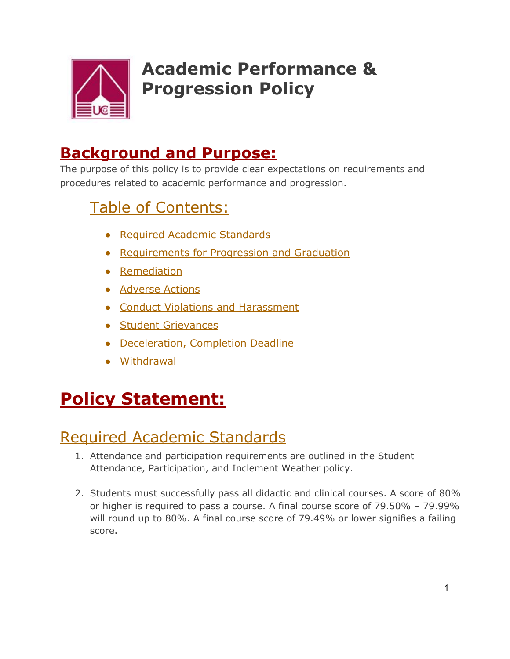

# **Academic Performance & Progression Policy**

## **Background and Purpose:**

The purpose of this policy is to provide clear expectations on requirements and procedures related to academic performance and progression.

## Table of Contents:

- Required Academic Standards
- Requirements for Progression and Graduation
- Remediation
- Adverse Actions
- Conduct Violations and Harassment
- Student Grievances
- Deceleration, Completion Deadline
- Withdrawal

## **Policy Statement:**

## Required Academic Standards

- 1. Attendance and participation requirements are outlined in the Student Attendance, Participation, and Inclement Weather policy.
- 2. Students must successfully pass all didactic and clinical courses. A score of 80% or higher is required to pass a course. A final course score of 79.50% – 79.99% will round up to 80%. A final course score of 79.49% or lower signifies a failing score.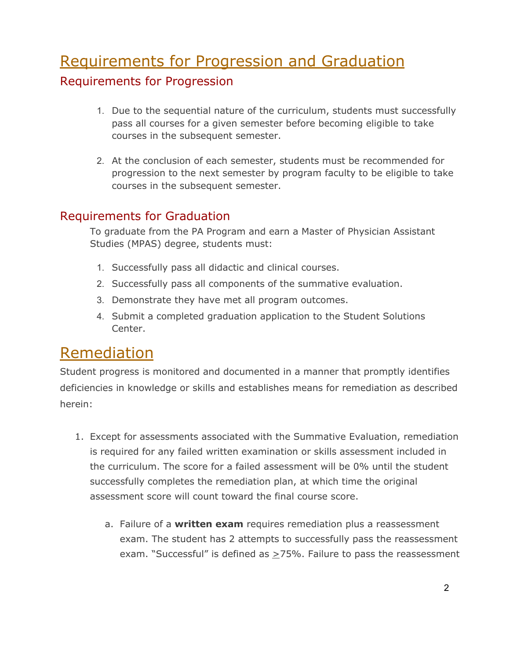## Requirements for Progression and Graduation

#### Requirements for Progression

- 1. Due to the sequential nature of the curriculum, students must successfully pass all courses for a given semester before becoming eligible to take courses in the subsequent semester.
- 2. At the conclusion of each semester, students must be recommended for progression to the next semester by program faculty to be eligible to take courses in the subsequent semester.

#### Requirements for Graduation

To graduate from the PA Program and earn a Master of Physician Assistant Studies (MPAS) degree, students must:

- 1. Successfully pass all didactic and clinical courses.
- 2. Successfully pass all components of the summative evaluation.
- 3. Demonstrate they have met all program outcomes.
- 4. Submit a completed graduation application to the Student Solutions Center.

### Remediation

Student progress is monitored and documented in a manner that promptly identifies deficiencies in knowledge or skills and establishes means for remediation as described herein:

- 1. Except for assessments associated with the Summative Evaluation, remediation is required for any failed written examination or skills assessment included in the curriculum. The score for a failed assessment will be 0% until the student successfully completes the remediation plan, at which time the original assessment score will count toward the final course score.
	- a. Failure of a **written exam** requires remediation plus a reassessment exam. The student has 2 attempts to successfully pass the reassessment exam. "Successful" is defined as >75%. Failure to pass the reassessment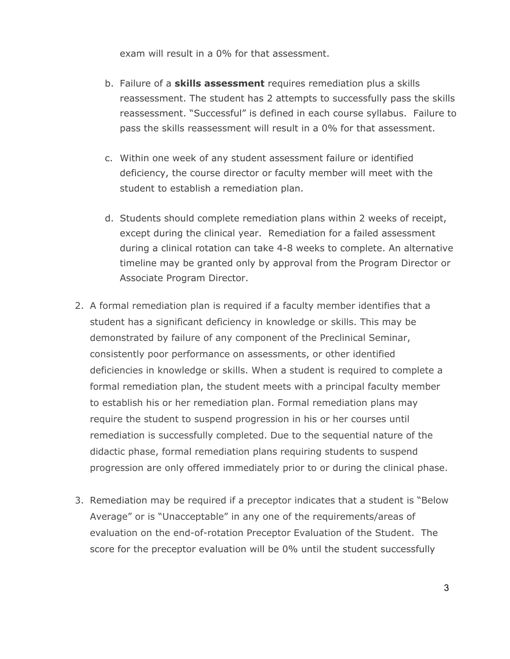exam will result in a 0% for that assessment.

- b. Failure of a **skills assessment** requires remediation plus a skills reassessment. The student has 2 attempts to successfully pass the skills reassessment. "Successful" is defined in each course syllabus. Failure to pass the skills reassessment will result in a 0% for that assessment.
- c. Within one week of any student assessment failure or identified deficiency, the course director or faculty member will meet with the student to establish a remediation plan.
- d. Students should complete remediation plans within 2 weeks of receipt, except during the clinical year. Remediation for a failed assessment during a clinical rotation can take 4-8 weeks to complete. An alternative timeline may be granted only by approval from the Program Director or Associate Program Director.
- 2. A formal remediation plan is required if a faculty member identifies that a student has a significant deficiency in knowledge or skills. This may be demonstrated by failure of any component of the Preclinical Seminar, consistently poor performance on assessments, or other identified deficiencies in knowledge or skills. When a student is required to complete a formal remediation plan, the student meets with a principal faculty member to establish his or her remediation plan. Formal remediation plans may require the student to suspend progression in his or her courses until remediation is successfully completed. Due to the sequential nature of the didactic phase, formal remediation plans requiring students to suspend progression are only offered immediately prior to or during the clinical phase.
- 3. Remediation may be required if a preceptor indicates that a student is "Below Average" or is "Unacceptable" in any one of the requirements/areas of evaluation on the end-of-rotation Preceptor Evaluation of the Student. The score for the preceptor evaluation will be 0% until the student successfully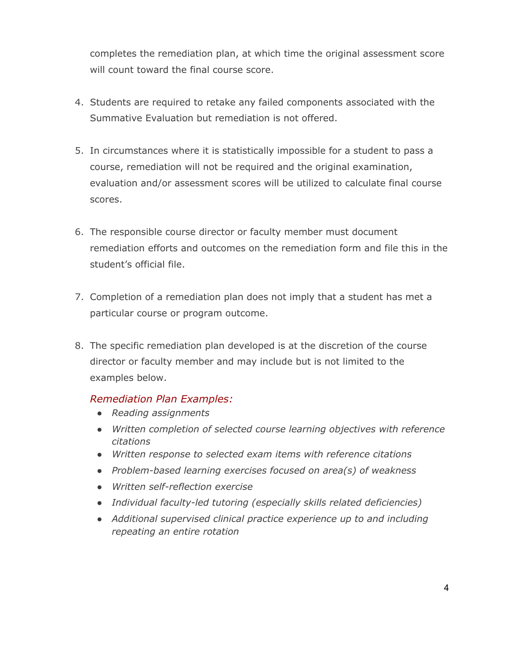completes the remediation plan, at which time the original assessment score will count toward the final course score.

- 4. Students are required to retake any failed components associated with the Summative Evaluation but remediation is not offered.
- 5. In circumstances where it is statistically impossible for a student to pass a course, remediation will not be required and the original examination, evaluation and/or assessment scores will be utilized to calculate final course scores.
- 6. The responsible course director or faculty member must document remediation efforts and outcomes on the remediation form and file this in the student's official file.
- 7. Completion of a remediation plan does not imply that a student has met a particular course or program outcome.
- 8. The specific remediation plan developed is at the discretion of the course director or faculty member and may include but is not limited to the examples below.

#### *Remediation Plan Examples:*

- *Reading assignments*
- *Written completion of selected course learning objectives with reference citations*
- *Written response to selected exam items with reference citations*
- *Problem-based learning exercises focused on area(s) of weakness*
- *Written self-reflection exercise*
- *Individual faculty-led tutoring (especially skills related deficiencies)*
- *Additional supervised clinical practice experience up to and including repeating an entire rotation*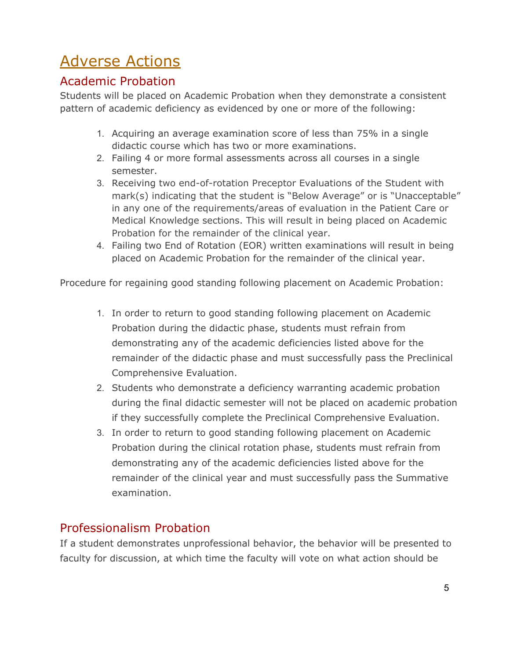## Adverse Actions

### Academic Probation

Students will be placed on Academic Probation when they demonstrate a consistent pattern of academic deficiency as evidenced by one or more of the following:

- 1. Acquiring an average examination score of less than 75% in a single didactic course which has two or more examinations.
- 2. Failing 4 or more formal assessments across all courses in a single semester.
- 3. Receiving two end-of-rotation Preceptor Evaluations of the Student with mark(s) indicating that the student is "Below Average" or is "Unacceptable" in any one of the requirements/areas of evaluation in the Patient Care or Medical Knowledge sections. This will result in being placed on Academic Probation for the remainder of the clinical year.
- 4. Failing two End of Rotation (EOR) written examinations will result in being placed on Academic Probation for the remainder of the clinical year.

Procedure for regaining good standing following placement on Academic Probation:

- 1. In order to return to good standing following placement on Academic Probation during the didactic phase, students must refrain from demonstrating any of the academic deficiencies listed above for the remainder of the didactic phase and must successfully pass the Preclinical Comprehensive Evaluation.
- 2. Students who demonstrate a deficiency warranting academic probation during the final didactic semester will not be placed on academic probation if they successfully complete the Preclinical Comprehensive Evaluation.
- 3. In order to return to good standing following placement on Academic Probation during the clinical rotation phase, students must refrain from demonstrating any of the academic deficiencies listed above for the remainder of the clinical year and must successfully pass the Summative examination.

#### Professionalism Probation

If a student demonstrates unprofessional behavior, the behavior will be presented to faculty for discussion, at which time the faculty will vote on what action should be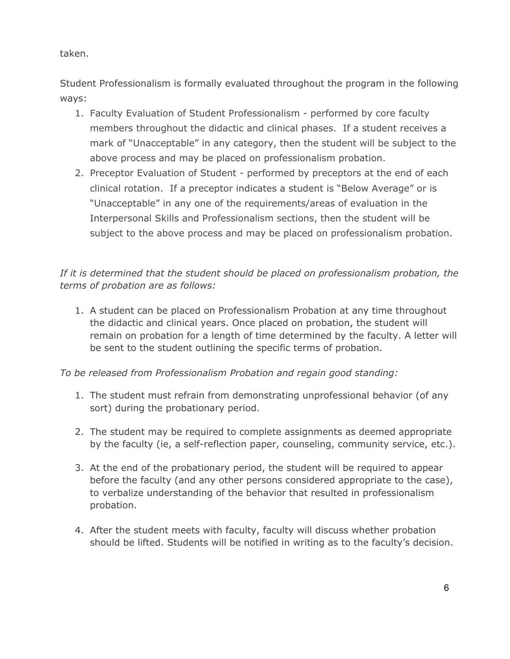taken.

Student Professionalism is formally evaluated throughout the program in the following ways:

- 1. Faculty Evaluation of Student Professionalism performed by core faculty members throughout the didactic and clinical phases. If a student receives a mark of "Unacceptable" in any category, then the student will be subject to the above process and may be placed on professionalism probation.
- 2. Preceptor Evaluation of Student performed by preceptors at the end of each clinical rotation. If a preceptor indicates a student is "Below Average" or is "Unacceptable" in any one of the requirements/areas of evaluation in the Interpersonal Skills and Professionalism sections, then the student will be subject to the above process and may be placed on professionalism probation.

*If it is determined that the student should be placed on professionalism probation, the terms of probation are as follows:*

1. A student can be placed on Professionalism Probation at any time throughout the didactic and clinical years. Once placed on probation, the student will remain on probation for a length of time determined by the faculty. A letter will be sent to the student outlining the specific terms of probation.

*To be released from Professionalism Probation and regain good standing:*

- 1. The student must refrain from demonstrating unprofessional behavior (of any sort) during the probationary period.
- 2. The student may be required to complete assignments as deemed appropriate by the faculty (ie, a self-reflection paper, counseling, community service, etc.).
- 3. At the end of the probationary period, the student will be required to appear before the faculty (and any other persons considered appropriate to the case), to verbalize understanding of the behavior that resulted in professionalism probation.
- 4. After the student meets with faculty, faculty will discuss whether probation should be lifted. Students will be notified in writing as to the faculty's decision.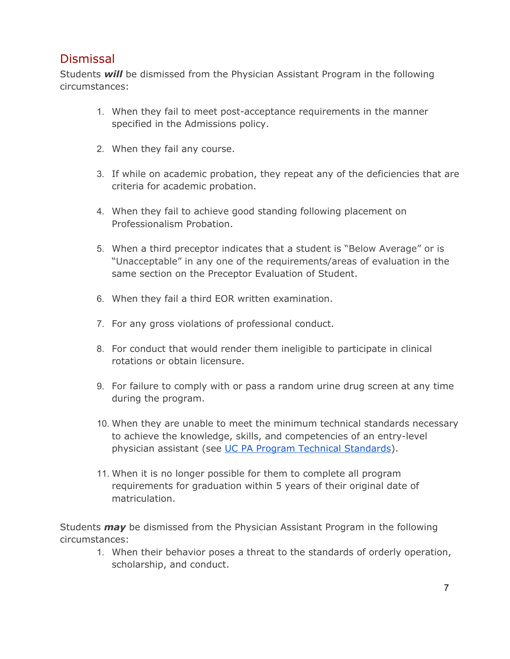### **Dismissal**

Students *will* be dismissed from the Physician Assistant Program in the following circumstances:

- 1. When they fail to meet post-acceptance requirements in the manner specified in the Admissions policy.
- 2. When they fail any course.
- 3. If while on academic probation, they repeat any of the deficiencies that are criteria for academic probation.
- 4. When they fail to achieve good standing following placement on Professionalism Probation.
- 5. When a third preceptor indicates that a student is "Below Average" or is "Unacceptable" in any one of the requirements/areas of evaluation in the same section on the Preceptor Evaluation of Student.
- 6. When they fail a third EOR written examination.
- 7. For any gross violations of professional conduct.
- 8. For conduct that would render them ineligible to participate in clinical rotations or obtain licensure.
- 9. For failure to comply with or pass a random urine drug screen at any time during the program.
- 10. When they are unable to meet the minimum technical standards necessary to achieve the knowledge, skills, and competencies of an entry-level physician assistant (see UC PA Program Technical Standards).
- 11. When it is no longer possible for them to complete all program requirements for graduation within 5 years of their original date of matriculation.

Students *may* be dismissed from the Physician Assistant Program in the following circumstances:

1. When their behavior poses a threat to the standards of orderly operation, scholarship, and conduct.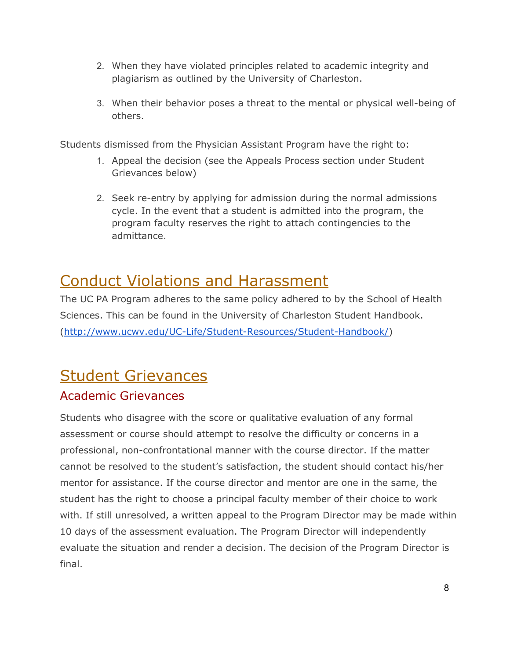- 2. When they have violated principles related to academic integrity and plagiarism as outlined by the University of Charleston.
- 3. When their behavior poses a threat to the mental or physical well-being of others.

Students dismissed from the Physician Assistant Program have the right to:

- 1. Appeal the decision (see the Appeals Process section under Student Grievances below)
- 2. Seek re-entry by applying for admission during the normal admissions cycle. In the event that a student is admitted into the program, the program faculty reserves the right to attach contingencies to the admittance.

### Conduct Violations and Harassment

The UC PA Program adheres to the same policy adhered to by the School of Health Sciences. This can be found in the University of Charleston Student Handbook. (http://www.ucwv.edu/UC-Life/Student-Resources/Student-Handbook/)

### Student Grievances Academic Grievances

Students who disagree with the score or qualitative evaluation of any formal assessment or course should attempt to resolve the difficulty or concerns in a professional, non-confrontational manner with the course director. If the matter cannot be resolved to the student's satisfaction, the student should contact his/her mentor for assistance. If the course director and mentor are one in the same, the student has the right to choose a principal faculty member of their choice to work with. If still unresolved, a written appeal to the Program Director may be made within 10 days of the assessment evaluation. The Program Director will independently evaluate the situation and render a decision. The decision of the Program Director is final.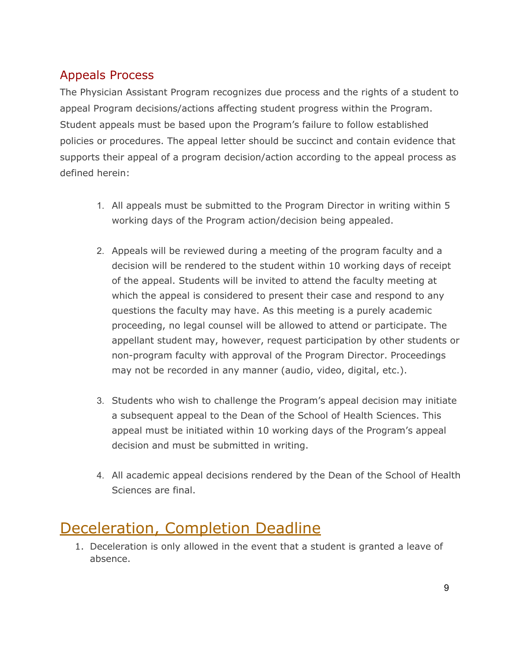### Appeals Process

The Physician Assistant Program recognizes due process and the rights of a student to appeal Program decisions/actions affecting student progress within the Program. Student appeals must be based upon the Program's failure to follow established policies or procedures. The appeal letter should be succinct and contain evidence that supports their appeal of a program decision/action according to the appeal process as defined herein:

- 1. All appeals must be submitted to the Program Director in writing within 5 working days of the Program action/decision being appealed.
- 2. Appeals will be reviewed during a meeting of the program faculty and a decision will be rendered to the student within 10 working days of receipt of the appeal. Students will be invited to attend the faculty meeting at which the appeal is considered to present their case and respond to any questions the faculty may have. As this meeting is a purely academic proceeding, no legal counsel will be allowed to attend or participate. The appellant student may, however, request participation by other students or non-program faculty with approval of the Program Director. Proceedings may not be recorded in any manner (audio, video, digital, etc.).
- 3. Students who wish to challenge the Program's appeal decision may initiate a subsequent appeal to the Dean of the School of Health Sciences. This appeal must be initiated within 10 working days of the Program's appeal decision and must be submitted in writing.
- 4. All academic appeal decisions rendered by the Dean of the School of Health Sciences are final.

## Deceleration, Completion Deadline

1. Deceleration is only allowed in the event that a student is granted a leave of absence.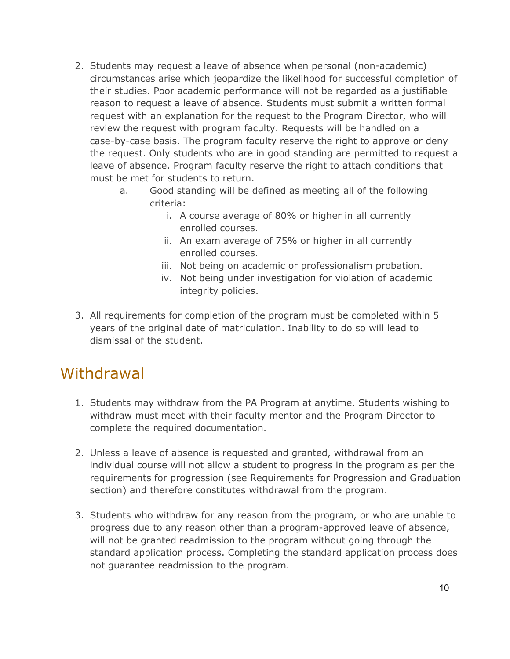- 2. Students may request a leave of absence when personal (non-academic) circumstances arise which jeopardize the likelihood for successful completion of their studies. Poor academic performance will not be regarded as a justifiable reason to request a leave of absence. Students must submit a written formal request with an explanation for the request to the Program Director, who will review the request with program faculty. Requests will be handled on a case-by-case basis. The program faculty reserve the right to approve or deny the request. Only students who are in good standing are permitted to request a leave of absence. Program faculty reserve the right to attach conditions that must be met for students to return.
	- a. Good standing will be defined as meeting all of the following criteria:
		- i. A course average of 80% or higher in all currently enrolled courses.
		- ii. An exam average of 75% or higher in all currently enrolled courses.
		- iii. Not being on academic or professionalism probation.
		- iv. Not being under investigation for violation of academic integrity policies.
- 3. All requirements for completion of the program must be completed within 5 years of the original date of matriculation. Inability to do so will lead to dismissal of the student.

### **Withdrawal**

- 1. Students may withdraw from the PA Program at anytime. Students wishing to withdraw must meet with their faculty mentor and the Program Director to complete the required documentation.
- 2. Unless a leave of absence is requested and granted, withdrawal from an individual course will not allow a student to progress in the program as per the requirements for progression (see Requirements for Progression and Graduation section) and therefore constitutes withdrawal from the program.
- 3. Students who withdraw for any reason from the program, or who are unable to progress due to any reason other than a program-approved leave of absence, will not be granted readmission to the program without going through the standard application process. Completing the standard application process does not guarantee readmission to the program.